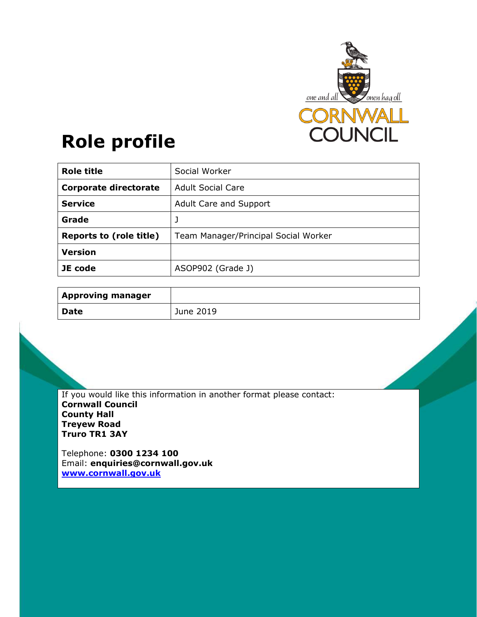

# **Role profile**

| <b>Role title</b>              | Social Worker                        |
|--------------------------------|--------------------------------------|
| <b>Corporate directorate</b>   | <b>Adult Social Care</b>             |
| <b>Service</b>                 | Adult Care and Support               |
| Grade                          | J                                    |
| <b>Reports to (role title)</b> | Team Manager/Principal Social Worker |
| <b>Version</b>                 |                                      |
| JE code                        | ASOP902 (Grade J)                    |

| <b>Approving manager</b> |           |
|--------------------------|-----------|
| <b>Date</b>              | June 2019 |

If you would like this information in another format please contact: **Cornwall Council County Hall Treyew Road Truro TR1 3AY** 

Telephone: **0300 1234 100** Email: **enquiries@cornwall.gov.uk www.cornwall.gov.uk**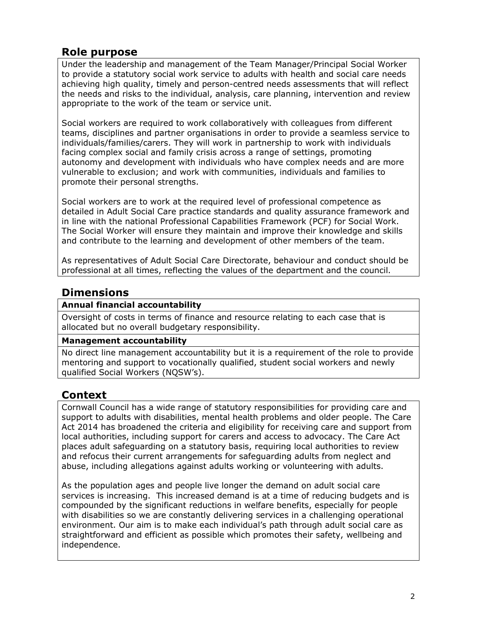## **Role purpose**

Under the leadership and management of the Team Manager/Principal Social Worker to provide a statutory social work service to adults with health and social care needs achieving high quality, timely and person-centred needs assessments that will reflect the needs and risks to the individual, analysis, care planning, intervention and review appropriate to the work of the team or service unit.

Social workers are required to work collaboratively with colleagues from different teams, disciplines and partner organisations in order to provide a seamless service to individuals/families/carers. They will work in partnership to work with individuals facing complex social and family crisis across a range of settings, promoting autonomy and development with individuals who have complex needs and are more vulnerable to exclusion; and work with communities, individuals and families to promote their personal strengths.

Social workers are to work at the required level of professional competence as detailed in Adult Social Care practice standards and quality assurance framework and in line with the national Professional Capabilities Framework (PCF) for Social Work. The Social Worker will ensure they maintain and improve their knowledge and skills and contribute to the learning and development of other members of the team.

As representatives of Adult Social Care Directorate, behaviour and conduct should be professional at all times, reflecting the values of the department and the council.

# **Dimensions**

## **Annual financial accountability**

Oversight of costs in terms of finance and resource relating to each case that is allocated but no overall budgetary responsibility.

## **Management accountability**

No direct line management accountability but it is a requirement of the role to provide mentoring and support to vocationally qualified, student social workers and newly qualified Social Workers (NQSW's).

# **Context**

Cornwall Council has a wide range of statutory responsibilities for providing care and support to adults with disabilities, mental health problems and older people. The Care Act 2014 has broadened the criteria and eligibility for receiving care and support from local authorities, including support for carers and access to advocacy. The Care Act places adult safeguarding on a statutory basis, requiring local authorities to review and refocus their current arrangements for safeguarding adults from neglect and abuse, including allegations against adults working or volunteering with adults.

As the population ages and people live longer the demand on adult social care services is increasing. This increased demand is at a time of reducing budgets and is compounded by the significant reductions in welfare benefits, especially for people with disabilities so we are constantly delivering services in a challenging operational environment. Our aim is to make each individual's path through adult social care as straightforward and efficient as possible which promotes their safety, wellbeing and independence.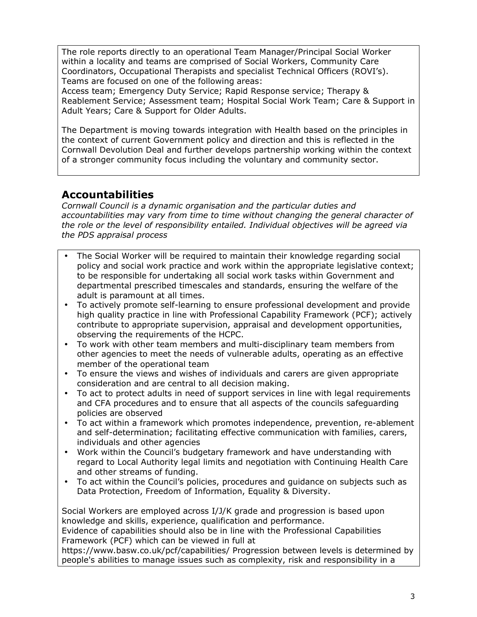The role reports directly to an operational Team Manager/Principal Social Worker within a locality and teams are comprised of Social Workers, Community Care Coordinators, Occupational Therapists and specialist Technical Officers (ROVI's). Teams are focused on one of the following areas:

Access team; Emergency Duty Service; Rapid Response service; Therapy & Reablement Service; Assessment team; Hospital Social Work Team; Care & Support in Adult Years; Care & Support for Older Adults.

The Department is moving towards integration with Health based on the principles in the context of current Government policy and direction and this is reflected in the Cornwall Devolution Deal and further develops partnership working within the context of a stronger community focus including the voluntary and community sector.

## **Accountabilities**

*Cornwall Council is a dynamic organisation and the particular duties and accountabilities may vary from time to time without changing the general character of the role or the level of responsibility entailed. Individual objectives will be agreed via the PDS appraisal process* 

- The Social Worker will be required to maintain their knowledge regarding social policy and social work practice and work within the appropriate legislative context; to be responsible for undertaking all social work tasks within Government and departmental prescribed timescales and standards, ensuring the welfare of the adult is paramount at all times.
- To actively promote self-learning to ensure professional development and provide high quality practice in line with Professional Capability Framework (PCF); actively contribute to appropriate supervision, appraisal and development opportunities, observing the requirements of the HCPC.
- To work with other team members and multi-disciplinary team members from other agencies to meet the needs of vulnerable adults, operating as an effective member of the operational team
- To ensure the views and wishes of individuals and carers are given appropriate consideration and are central to all decision making.
- To act to protect adults in need of support services in line with legal requirements and CFA procedures and to ensure that all aspects of the councils safeguarding policies are observed
- To act within a framework which promotes independence, prevention, re-ablement and self-determination; facilitating effective communication with families, carers, individuals and other agencies
- Work within the Council's budgetary framework and have understanding with regard to Local Authority legal limits and negotiation with Continuing Health Care and other streams of funding.
- To act within the Council's policies, procedures and guidance on subjects such as Data Protection, Freedom of Information, Equality & Diversity.

Social Workers are employed across I/J/K grade and progression is based upon knowledge and skills, experience, qualification and performance.

Evidence of capabilities should also be in line with the Professional Capabilities Framework (PCF) which can be viewed in full at

https://www.basw.co.uk/pcf/capabilities/ Progression between levels is determined by people's abilities to manage issues such as complexity, risk and responsibility in a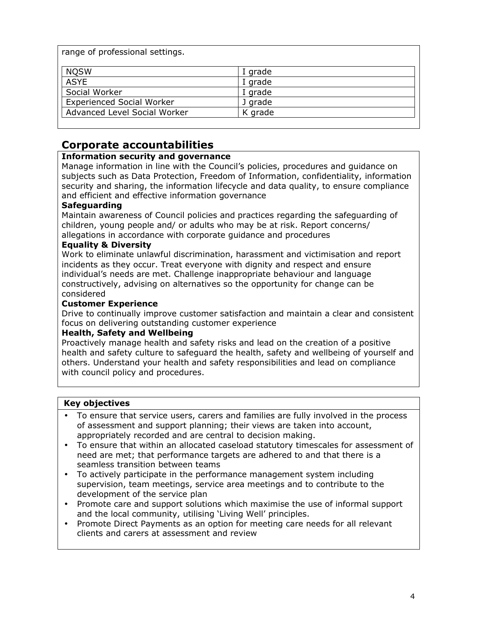range of professional settings.

| <b>NQSW</b>                      | I grade |
|----------------------------------|---------|
| <b>ASYE</b>                      | I grade |
| Social Worker                    | I grade |
| <b>Experienced Social Worker</b> | J grade |
| Advanced Level Social Worker     | K grade |
|                                  |         |

# **Corporate accountabilities**

## **Information security and governance**

Manage information in line with the Council's policies, procedures and guidance on subjects such as Data Protection, Freedom of Information, confidentiality, information security and sharing, the information lifecycle and data quality, to ensure compliance and efficient and effective information governance

## **Safeguarding**

Maintain awareness of Council policies and practices regarding the safeguarding of children, young people and/ or adults who may be at risk. Report concerns/ allegations in accordance with corporate guidance and procedures

## **Equality & Diversity**

Work to eliminate unlawful discrimination, harassment and victimisation and report incidents as they occur. Treat everyone with dignity and respect and ensure individual's needs are met. Challenge inappropriate behaviour and language constructively, advising on alternatives so the opportunity for change can be considered

#### **Customer Experience**

Drive to continually improve customer satisfaction and maintain a clear and consistent focus on delivering outstanding customer experience

#### **Health, Safety and Wellbeing**

Proactively manage health and safety risks and lead on the creation of a positive health and safety culture to safeguard the health, safety and wellbeing of yourself and others. Understand your health and safety responsibilities and lead on compliance with council policy and procedures.

#### **Key objectives**

- To ensure that service users, carers and families are fully involved in the process of assessment and support planning; their views are taken into account, appropriately recorded and are central to decision making.
- To ensure that within an allocated caseload statutory timescales for assessment of need are met; that performance targets are adhered to and that there is a seamless transition between teams
- To actively participate in the performance management system including supervision, team meetings, service area meetings and to contribute to the development of the service plan
- Promote care and support solutions which maximise the use of informal support and the local community, utilising 'Living Well' principles.
- Promote Direct Payments as an option for meeting care needs for all relevant clients and carers at assessment and review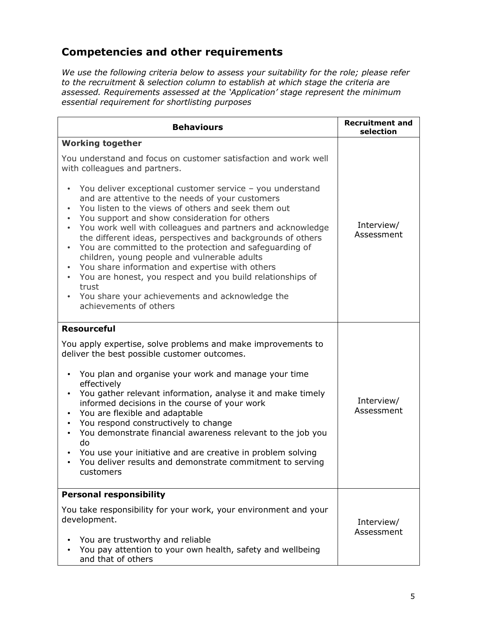# **Competencies and other requirements**

*We use the following criteria below to assess your suitability for the role; please refer to the recruitment & selection column to establish at which stage the criteria are assessed. Requirements assessed at the 'Application' stage represent the minimum essential requirement for shortlisting purposes* 

| <b>Behaviours</b>                                                                                                                                                                                                                                                                                                                                                                                                                                                                                                                                                                                                                                                                              | <b>Recruitment and</b><br>selection |
|------------------------------------------------------------------------------------------------------------------------------------------------------------------------------------------------------------------------------------------------------------------------------------------------------------------------------------------------------------------------------------------------------------------------------------------------------------------------------------------------------------------------------------------------------------------------------------------------------------------------------------------------------------------------------------------------|-------------------------------------|
| <b>Working together</b>                                                                                                                                                                                                                                                                                                                                                                                                                                                                                                                                                                                                                                                                        |                                     |
| You understand and focus on customer satisfaction and work well<br>with colleagues and partners.                                                                                                                                                                                                                                                                                                                                                                                                                                                                                                                                                                                               |                                     |
| You deliver exceptional customer service - you understand<br>and are attentive to the needs of your customers<br>You listen to the views of others and seek them out<br>You support and show consideration for others<br>You work well with colleagues and partners and acknowledge<br>the different ideas, perspectives and backgrounds of others<br>You are committed to the protection and safeguarding of<br>children, young people and vulnerable adults<br>You share information and expertise with others<br>$\bullet$<br>You are honest, you respect and you build relationships of<br>$\bullet$<br>trust<br>You share your achievements and acknowledge the<br>achievements of others | Interview/<br>Assessment            |
| <b>Resourceful</b><br>You apply expertise, solve problems and make improvements to<br>deliver the best possible customer outcomes.<br>You plan and organise your work and manage your time<br>effectively<br>You gather relevant information, analyse it and make timely<br>$\bullet$<br>informed decisions in the course of your work<br>You are flexible and adaptable<br>$\bullet$<br>You respond constructively to change<br>$\bullet$<br>You demonstrate financial awareness relevant to the job you<br>do<br>You use your initiative and are creative in problem solving<br>You deliver results and demonstrate commitment to serving<br>customers                                       | Interview/<br>Assessment            |
| <b>Personal responsibility</b><br>You take responsibility for your work, your environment and your<br>development.<br>You are trustworthy and reliable<br>You pay attention to your own health, safety and wellbeing<br>and that of others                                                                                                                                                                                                                                                                                                                                                                                                                                                     | Interview/<br>Assessment            |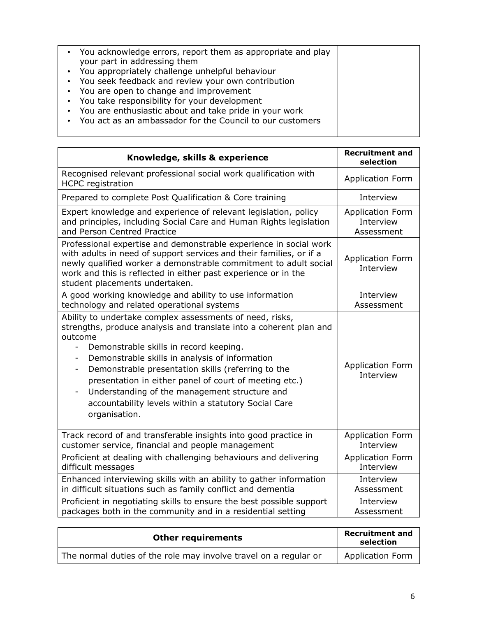| • You acknowledge errors, report them as appropriate and play<br>your part in addressing them<br>• You appropriately challenge unhelpful behaviour<br>• You seek feedback and review your own contribution<br>• You are open to change and improvement<br>• You take responsibility for your development<br>• You are enthusiastic about and take pride in your work |  |
|----------------------------------------------------------------------------------------------------------------------------------------------------------------------------------------------------------------------------------------------------------------------------------------------------------------------------------------------------------------------|--|
| You act as an ambassador for the Council to our customers                                                                                                                                                                                                                                                                                                            |  |
|                                                                                                                                                                                                                                                                                                                                                                      |  |

| Knowledge, skills & experience                                                                                                                                                                                                                                                                                                                                                                                                                                                                                                                                      | <b>Recruitment and</b><br>selection  |
|---------------------------------------------------------------------------------------------------------------------------------------------------------------------------------------------------------------------------------------------------------------------------------------------------------------------------------------------------------------------------------------------------------------------------------------------------------------------------------------------------------------------------------------------------------------------|--------------------------------------|
| Recognised relevant professional social work qualification with<br><b>HCPC</b> registration                                                                                                                                                                                                                                                                                                                                                                                                                                                                         | <b>Application Form</b>              |
| Prepared to complete Post Qualification & Core training                                                                                                                                                                                                                                                                                                                                                                                                                                                                                                             | Interview                            |
| Expert knowledge and experience of relevant legislation, policy                                                                                                                                                                                                                                                                                                                                                                                                                                                                                                     | <b>Application Form</b>              |
| and principles, including Social Care and Human Rights legislation                                                                                                                                                                                                                                                                                                                                                                                                                                                                                                  | Interview                            |
| and Person Centred Practice                                                                                                                                                                                                                                                                                                                                                                                                                                                                                                                                         | Assessment                           |
| Professional expertise and demonstrable experience in social work<br>with adults in need of support services and their families, or if a<br>newly qualified worker a demonstrable commitment to adult social<br>work and this is reflected in either past experience or in the<br>student placements undertaken.                                                                                                                                                                                                                                                    | <b>Application Form</b><br>Interview |
| A good working knowledge and ability to use information                                                                                                                                                                                                                                                                                                                                                                                                                                                                                                             | Interview                            |
| technology and related operational systems                                                                                                                                                                                                                                                                                                                                                                                                                                                                                                                          | Assessment                           |
| Ability to undertake complex assessments of need, risks,<br>strengths, produce analysis and translate into a coherent plan and<br>outcome<br>Demonstrable skills in record keeping.<br>Demonstrable skills in analysis of information<br>$\overline{\phantom{a}}$<br>Demonstrable presentation skills (referring to the<br>$\overline{\phantom{a}}$<br>presentation in either panel of court of meeting etc.)<br>Understanding of the management structure and<br>$\overline{\phantom{0}}$<br>accountability levels within a statutory Social Care<br>organisation. | <b>Application Form</b><br>Interview |
| Track record of and transferable insights into good practice in                                                                                                                                                                                                                                                                                                                                                                                                                                                                                                     | Application Form                     |
| customer service, financial and people management                                                                                                                                                                                                                                                                                                                                                                                                                                                                                                                   | Interview                            |
| Proficient at dealing with challenging behaviours and delivering                                                                                                                                                                                                                                                                                                                                                                                                                                                                                                    | Application Form                     |
| difficult messages                                                                                                                                                                                                                                                                                                                                                                                                                                                                                                                                                  | Interview                            |
| Enhanced interviewing skills with an ability to gather information                                                                                                                                                                                                                                                                                                                                                                                                                                                                                                  | Interview                            |
| in difficult situations such as family conflict and dementia                                                                                                                                                                                                                                                                                                                                                                                                                                                                                                        | Assessment                           |
| Proficient in negotiating skills to ensure the best possible support                                                                                                                                                                                                                                                                                                                                                                                                                                                                                                | Interview                            |
| packages both in the community and in a residential setting                                                                                                                                                                                                                                                                                                                                                                                                                                                                                                         | Assessment                           |

| <b>Other requirements</b>                                        | <b>Recruitment and</b><br>selection |
|------------------------------------------------------------------|-------------------------------------|
| The normal duties of the role may involve travel on a regular or | <b>Application Form</b>             |